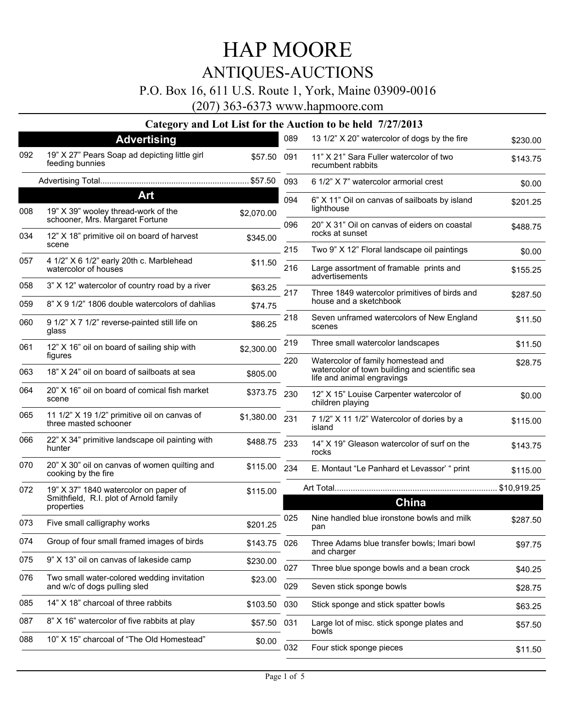### P.O. Box 16, 611 U.S. Route 1, York, Maine 03909-0016

(207) 363-6373 www.hapmoore.com

|     | $\bullet$ –<br>ູ<br><b>Advertising</b>                                                        |              | 089        | 13 1/2" X 20" watercolor of dogs by the fire                                                                       | \$230.00           |
|-----|-----------------------------------------------------------------------------------------------|--------------|------------|--------------------------------------------------------------------------------------------------------------------|--------------------|
| 092 | 19" X 27" Pears Soap ad depicting little girl<br>feeding bunnies                              | \$57.50      | 091        | 11" X 21" Sara Fuller watercolor of two<br>recumbent rabbits                                                       | \$143.75           |
|     |                                                                                               |              |            | 6 1/2" X 7" watercolor armorial crest                                                                              | \$0.00             |
|     | Art                                                                                           |              | 094        | 6" X 11" Oil on canvas of sailboats by island                                                                      | \$201.25           |
| 008 | 19" X 39" wooley thread-work of the<br>schooner, Mrs. Margaret Fortune                        | \$2,070.00   | 096        | lighthouse<br>20" X 31" Oil on canvas of eiders on coastal                                                         |                    |
| 034 | 12" X 18" primitive oil on board of harvest<br>scene                                          | \$345.00     |            | rocks at sunset                                                                                                    | \$488.75           |
| 057 | 4 1/2" X 6 1/2" early 20th c. Marblehead<br>watercolor of houses                              | \$11.50      | 215<br>216 | Two 9" X 12" Floral landscape oil paintings<br>Large assortment of framable prints and<br>advertisements           | \$0.00<br>\$155.25 |
| 058 | 3" X 12" watercolor of country road by a river                                                | \$63.25      | 217        | Three 1849 watercolor primitives of birds and                                                                      | \$287.50           |
| 059 | 8" X 9 1/2" 1806 double watercolors of dahlias                                                | \$74.75      |            | house and a sketchbook                                                                                             |                    |
| 060 | 9 1/2" X 7 1/2" reverse-painted still life on<br>glass                                        | \$86.25      | 218        | Seven unframed watercolors of New England<br>scenes                                                                | \$11.50            |
| 061 | 12" X 16" oil on board of sailing ship with                                                   | \$2,300.00   | 219        | Three small watercolor landscapes                                                                                  | \$11.50            |
| 063 | figures<br>18" X 24" oil on board of sailboats at sea                                         | \$805.00     | 220        | Watercolor of family homestead and<br>watercolor of town building and scientific sea<br>life and animal engravings | \$28.75            |
| 064 | 20" X 16" oil on board of comical fish market<br>scene                                        | \$373.75     | 230        | 12" X 15" Louise Carpenter watercolor of<br>children playing                                                       | \$0.00             |
| 065 | 11 1/2" X 19 1/2" primitive oil on canvas of<br>three masted schooner                         | \$1,380.00   | 231        | 7 1/2" X 11 1/2" Watercolor of dories by a<br>island                                                               | \$115.00           |
| 066 | 22" X 34" primitive landscape oil painting with<br>hunter                                     | \$488.75 233 |            | 14" X 19" Gleason watercolor of surf on the<br>rocks                                                               | \$143.75           |
| 070 | 20" X 30" oil on canvas of women quilting and<br>cooking by the fire                          | \$115.00     | 234        | E. Montaut "Le Panhard et Levassor' " print                                                                        | \$115.00           |
| 072 | 19" X 37" 1840 watercolor on paper of<br>Smithfield, R.I. plot of Arnold family<br>properties | \$115.00     |            | China                                                                                                              | \$10,919.25        |
| 073 | Five small calligraphy works                                                                  | \$201.25     | 025        | Nine handled blue ironstone bowls and milk<br>pan                                                                  | \$287.50           |
| 074 | Group of four small framed images of birds                                                    | \$143.75 026 |            | Three Adams blue transfer bowls; Imari bowl<br>and charger                                                         | \$97.75            |
| 075 | 9" X 13" oil on canvas of lakeside camp                                                       | \$230.00     | 027        | Three blue sponge bowls and a bean crock                                                                           | \$40.25            |
| 076 | Two small water-colored wedding invitation<br>and w/c of dogs pulling sled                    | \$23.00      | 029        | Seven stick sponge bowls                                                                                           | \$28.75            |
| 085 | 14" X 18" charcoal of three rabbits                                                           | \$103.50     | 030        | Stick sponge and stick spatter bowls                                                                               | \$63.25            |
| 087 | 8" X 16" watercolor of five rabbits at play                                                   | \$57.50 031  |            | Large lot of misc. stick sponge plates and                                                                         | \$57.50            |
| 088 | 10" X 15" charcoal of "The Old Homestead"                                                     | \$0.00       | 032        | bowls<br>Four stick sponge pieces                                                                                  |                    |
|     |                                                                                               |              |            |                                                                                                                    | \$11.50            |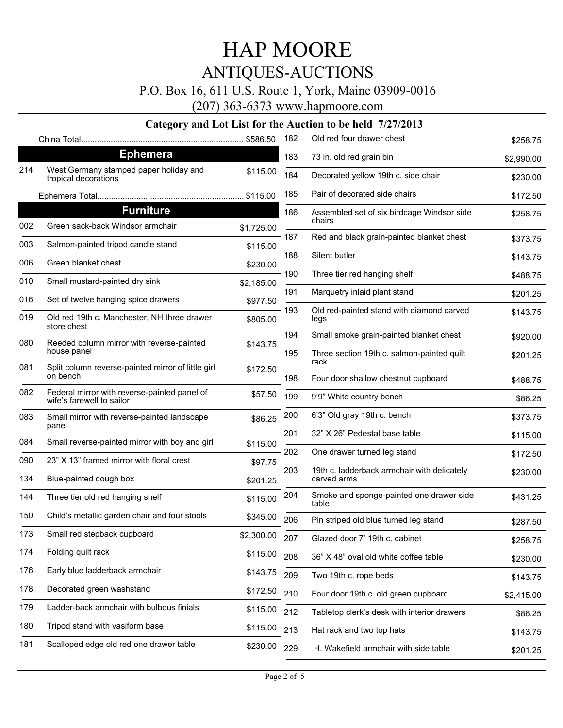### P.O. Box 16, 611 U.S. Route 1, York, Maine 03909-0016

(207) 363-6373 www.hapmoore.com

|     |                                                                           |            | 182        | Old red four drawer chest                                  | \$258.75   |
|-----|---------------------------------------------------------------------------|------------|------------|------------------------------------------------------------|------------|
|     | <b>Ephemera</b>                                                           |            | 183        | 73 in. old red grain bin                                   | \$2,990.00 |
| 214 | West Germany stamped paper holiday and<br>tropical decorations            | \$115.00   | 184        | Decorated yellow 19th c. side chair                        | \$230.00   |
|     |                                                                           |            | 185        | Pair of decorated side chairs                              | \$172.50   |
|     | <b>Furniture</b>                                                          |            | 186        | Assembled set of six birdcage Windsor side                 | \$258.75   |
| 002 | Green sack-back Windsor armchair                                          | \$1,725.00 | 187        | chairs<br>Red and black grain-painted blanket chest        |            |
| 003 | Salmon-painted tripod candle stand                                        | \$115.00   |            |                                                            | \$373.75   |
| 006 | Green blanket chest                                                       | \$230.00   | 188        | Silent butler                                              | \$143.75   |
| 010 | Small mustard-painted dry sink                                            | \$2,185.00 | 190        | Three tier red hanging shelf                               | \$488.75   |
| 016 | Set of twelve hanging spice drawers                                       | \$977.50   | 191        | Marquetry inlaid plant stand                               | \$201.25   |
| 019 | Old red 19th c. Manchester, NH three drawer<br>store chest                | \$805.00   | 193        | Old red-painted stand with diamond carved<br>legs          | \$143.75   |
| 080 | Reeded column mirror with reverse-painted                                 | \$143.75   | 194<br>195 | Small smoke grain-painted blanket chest                    | \$920.00   |
|     | house panel                                                               |            |            | Three section 19th c. salmon-painted quilt<br>rack         | \$201.25   |
| 081 | Split column reverse-painted mirror of little girl<br>on bench            | \$172.50   | 198        | Four door shallow chestnut cupboard                        | \$488.75   |
| 082 | Federal mirror with reverse-painted panel of<br>wife's farewell to sailor | \$57.50    | 199        | 9'9" White country bench                                   | \$86.25    |
| 083 | Small mirror with reverse-painted landscape<br>panel                      | \$86.25    | 200        | 6'3" Old gray 19th c. bench                                | \$373.75   |
| 084 | Small reverse-painted mirror with boy and girl                            | \$115.00   | 201        | 32" X 26" Pedestal base table                              | \$115.00   |
| 090 | 23" X 13" framed mirror with floral crest                                 | \$97.75    | 202        | One drawer turned leg stand                                | \$172.50   |
| 134 | Blue-painted dough box                                                    | \$201.25   | 203        | 19th c. ladderback armchair with delicately<br>carved arms | \$230.00   |
| 144 | Three tier old red hanging shelf                                          | \$115.00   | 204        | Smoke and sponge-painted one drawer side<br>table          | \$431.25   |
| 150 | Child's metallic garden chair and four stools                             | \$345.00   | 206        | Pin striped old blue turned leg stand                      | \$287.50   |
| 173 | Small red stepback cupboard                                               | \$2,300.00 | 207        | Glazed door 7' 19th c. cabinet                             | \$258.75   |
| 174 | Folding quilt rack                                                        | \$115.00   | 208        | 36" X 48" oval old white coffee table                      | \$230.00   |
| 176 | Early blue ladderback armchair                                            | \$143.75   | 209        | Two 19th c. rope beds                                      | \$143.75   |
| 178 | Decorated green washstand                                                 | \$172.50   | 210        | Four door 19th c. old green cupboard                       |            |
| 179 | Ladder-back armchair with bulbous finials                                 | \$115.00   | 212        |                                                            | \$2,415.00 |
| 180 | Tripod stand with vasiform base                                           | \$115.00   |            | Tabletop clerk's desk with interior drawers                | \$86.25    |
| 181 | Scalloped edge old red one drawer table                                   |            | 213        | Hat rack and two top hats                                  | \$143.75   |
|     |                                                                           | \$230.00   | 229        | H. Wakefield armchair with side table                      | \$201.25   |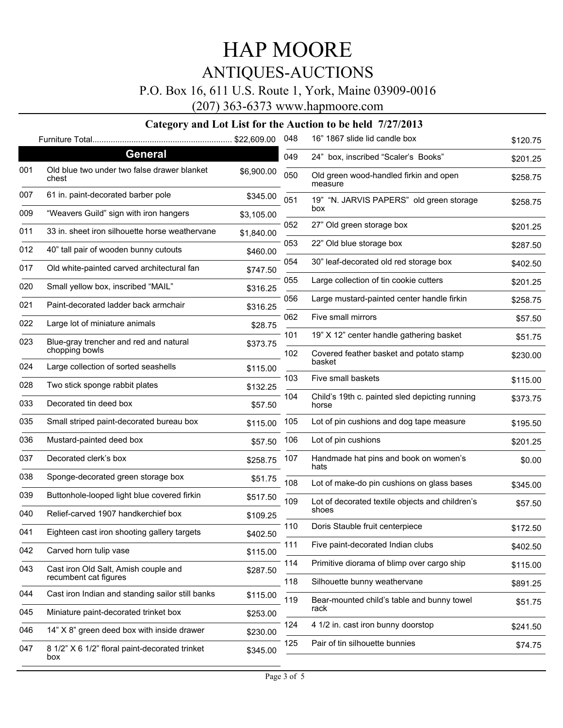### P.O. Box 16, 611 U.S. Route 1, York, Maine 03909-0016

(207) 363-6373 www.hapmoore.com

|     |                                                       |            | 048 | 16" 1867 slide lid candle box                           | \$120.75 |
|-----|-------------------------------------------------------|------------|-----|---------------------------------------------------------|----------|
|     | <b>General</b>                                        |            | 049 | 24" box, inscribed "Scaler's Books"                     | \$201.25 |
| 001 | Old blue two under two false drawer blanket<br>chest  | \$6,900.00 | 050 | Old green wood-handled firkin and open<br>measure       | \$258.75 |
| 007 | 61 in. paint-decorated barber pole                    | \$345.00   | 051 | 19" "N. JARVIS PAPERS" old green storage                | \$258.75 |
| 009 | "Weavers Guild" sign with iron hangers                | \$3,105.00 |     | box                                                     |          |
| 011 | 33 in, sheet iron silhouette horse weathervane        | \$1,840.00 | 052 | 27" Old green storage box                               | \$201.25 |
| 012 | 40" tall pair of wooden bunny cutouts                 | \$460.00   | 053 | 22" Old blue storage box                                | \$287.50 |
| 017 | Old white-painted carved architectural fan            | \$747.50   | 054 | 30" leaf-decorated old red storage box                  | \$402.50 |
| 020 | Small yellow box, inscribed "MAIL"                    | \$316.25   | 055 | Large collection of tin cookie cutters                  | \$201.25 |
| 021 | Paint-decorated ladder back armchair                  | \$316.25   | 056 | Large mustard-painted center handle firkin              | \$258.75 |
| 022 | Large lot of miniature animals                        | \$28.75    | 062 | Five small mirrors                                      | \$57.50  |
| 023 | Blue-gray trencher and red and natural                | \$373.75   | 101 | 19" X 12" center handle gathering basket                | \$51.75  |
|     | chopping bowls                                        |            | 102 | Covered feather basket and potato stamp                 | \$230.00 |
| 024 | Large collection of sorted seashells                  | \$115.00   |     | basket                                                  |          |
| 028 | Two stick sponge rabbit plates                        | \$132.25   | 103 | Five small baskets                                      | \$115.00 |
| 033 | Decorated tin deed box                                | \$57.50    | 104 | Child's 19th c. painted sled depicting running<br>horse | \$373.75 |
| 035 | Small striped paint-decorated bureau box              | \$115.00   | 105 | Lot of pin cushions and dog tape measure                | \$195.50 |
| 036 | Mustard-painted deed box                              | \$57.50    | 106 | Lot of pin cushions                                     | \$201.25 |
| 037 | Decorated clerk's box                                 | \$258.75   | 107 | Handmade hat pins and book on women's<br>hats           | \$0.00   |
| 038 | Sponge-decorated green storage box                    | \$51.75    | 108 | Lot of make-do pin cushions on glass bases              | \$345.00 |
| 039 | Buttonhole-looped light blue covered firkin           | \$517.50   | 109 | Lot of decorated textile objects and children's         | \$57.50  |
| 040 | Relief-carved 1907 handkerchief box                   | \$109.25   |     | shoes                                                   |          |
| 041 | Eighteen cast iron shooting gallery targets           | \$402.50   | 110 | Doris Stauble fruit centerpiece                         | \$172.50 |
| 042 | Carved horn tulip vase                                | \$115.00   | 111 | Five paint-decorated Indian clubs                       | \$402.50 |
| 043 | Cast iron Old Salt, Amish couple and                  | \$287.50   | 114 | Primitive diorama of blimp over cargo ship              | \$115.00 |
|     | recumbent cat figures                                 |            | 118 | Silhouette bunny weathervane                            | \$891.25 |
| 044 | Cast iron Indian and standing sailor still banks      | \$115.00   | 119 | Bear-mounted child's table and bunny towel              | \$51.75  |
| 045 | Miniature paint-decorated trinket box                 | \$253.00   |     | rack                                                    |          |
| 046 | 14" X 8" green deed box with inside drawer            | \$230.00   | 124 | 4 1/2 in. cast iron bunny doorstop                      | \$241.50 |
| 047 | 8 1/2" X 6 1/2" floral paint-decorated trinket<br>box | \$345.00   | 125 | Pair of tin silhouette bunnies                          | \$74.75  |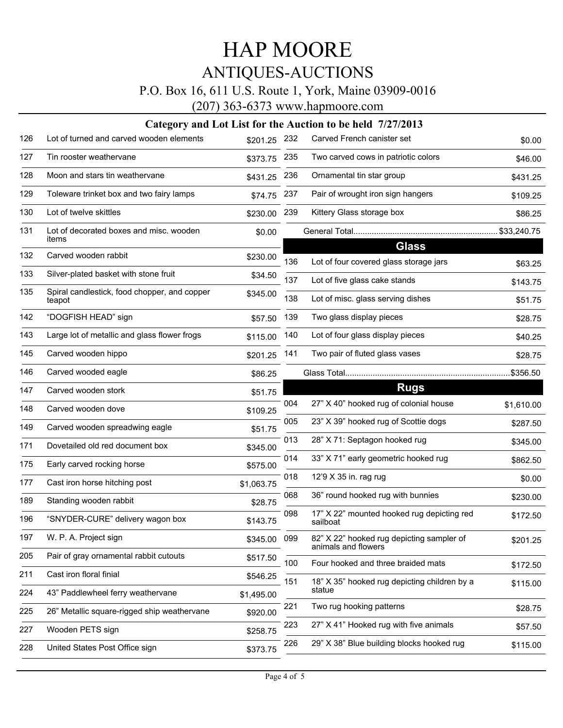### P.O. Box 16, 611 U.S. Route 1, York, Maine 03909-0016

(207) 363-6373 www.hapmoore.com

| 126 | Lot of turned and carved wooden elements               | \$201.25   | 232 | Carved French canister set                                | \$0.00     |
|-----|--------------------------------------------------------|------------|-----|-----------------------------------------------------------|------------|
| 127 | Tin rooster weathervane                                | \$373.75   | 235 | Two carved cows in patriotic colors                       | \$46.00    |
| 128 | Moon and stars tin weathervane                         | \$431.25   | 236 | Ornamental tin star group                                 | \$431.25   |
| 129 | Toleware trinket box and two fairy lamps               | \$74.75    | 237 | Pair of wrought iron sign hangers                         | \$109.25   |
| 130 | Lot of twelve skittles                                 | \$230.00   | 239 | Kittery Glass storage box                                 | \$86.25    |
| 131 | Lot of decorated boxes and misc. wooden<br>items       | \$0.00     |     |                                                           |            |
| 132 | Carved wooden rabbit                                   | \$230.00   | 136 | <b>Glass</b><br>Lot of four covered glass storage jars    | \$63.25    |
| 133 | Silver-plated basket with stone fruit                  | \$34.50    | 137 | Lot of five glass cake stands                             | \$143.75   |
| 135 | Spiral candlestick, food chopper, and copper<br>teapot | \$345.00   | 138 | Lot of misc. glass serving dishes                         | \$51.75    |
| 142 | "DOGFISH HEAD" sign                                    | \$57.50    | 139 | Two glass display pieces                                  | \$28.75    |
| 143 | Large lot of metallic and glass flower frogs           | \$115.00   | 140 | Lot of four glass display pieces                          | \$40.25    |
| 145 | Carved wooden hippo                                    | \$201.25   | 141 | Two pair of fluted glass vases                            | \$28.75    |
| 146 | Carved wooded eagle                                    | \$86.25    |     |                                                           | \$356.50   |
| 147 | Carved wooden stork                                    | \$51.75    |     | <b>Rugs</b>                                               |            |
| 148 | Carved wooden dove                                     | \$109.25   | 004 | 27" X 40" hooked rug of colonial house                    | \$1,610.00 |
| 149 | Carved wooden spreadwing eagle                         | \$51.75    | 005 | 23" X 39" hooked rug of Scottie dogs                      | \$287.50   |
| 171 | Dovetailed old red document box                        | \$345.00   | 013 | 28" X 71: Septagon hooked rug                             | \$345.00   |
| 175 | Early carved rocking horse                             | \$575.00   | 014 | 33" X 71" early geometric hooked rug                      | \$862.50   |
| 177 | Cast iron horse hitching post                          | \$1,063.75 | 018 | 12'9 X 35 in. rag rug                                     | \$0.00     |
| 189 | Standing wooden rabbit                                 | \$28.75    | 068 | 36" round hooked rug with bunnies                         | \$230.00   |
| 196 | "SNYDER-CURE" delivery wagon box                       | \$143.75   | 098 | 17" X 22" mounted hooked rug depicting red<br>sailboat    | \$172.50   |
| 197 | W. P. A. Project sign                                  | \$345.00   | 099 | 82" X 22" hooked rug depicting sampler of                 | \$201.25   |
| 205 | Pair of gray ornamental rabbit cutouts                 | \$517.50   | 100 | animals and flowers<br>Four hooked and three braided mats | \$172.50   |
| 211 | Cast iron floral finial                                | \$546.25   | 151 | 18" X 35" hooked rug depicting children by a              |            |
| 224 | 43" Paddlewheel ferry weathervane                      | \$1,495.00 |     | statue                                                    | \$115.00   |
| 225 | 26" Metallic square-rigged ship weathervane            | \$920.00   | 221 | Two rug hooking patterns                                  | \$28.75    |
| 227 | Wooden PETS sign                                       | \$258.75   | 223 | 27" X 41" Hooked rug with five animals                    | \$57.50    |
| 228 | United States Post Office sign                         | \$373.75   | 226 | 29" X 38" Blue building blocks hooked rug                 | \$115.00   |
|     |                                                        |            |     |                                                           |            |